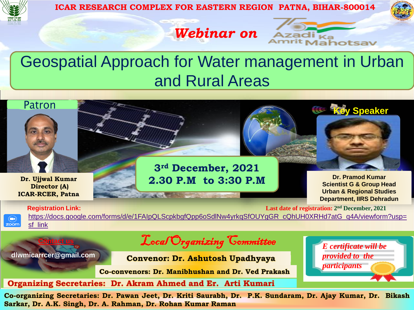

**ICAR RESEARCH COMPLEX FOR EASTERN REGION PATNA, BIHAR-800014**

*Webinar on*

Geospatial Approach for Water management in Urban and Rural Areas



 $\bigcirc$ zoom

**Registration Link: Last date of registration: 2<sup>nd</sup> December, 2021** [https://docs.google.com/forms/d/e/1FAIpQLScpkbgfQpp6oSdlNw4yrkqSfOUYgGR\\_cQhUH0XRHd7atG\\_q4A/viewform?usp=](https://docs.google.com/forms/d/e/1FAIpQLScpkbgfQpp6oSdlNw4yrkqSfOUYgGR_cQhUH0XRHd7atG_q4A/viewform?usp=sf_link) sf\_link

> *E certificate will be provided to the*

*participants*

adi <sub>Ka</sub><br><sup>rit</sup> Mahotsav

**dlwmicarrcer@gmail.com**

**Contact us**

Local Organizing Committee

**Convenor: Dr. Ashutosh Upadhyaya**

**Co-convenors: Dr. Manibhushan and Dr. Ved Prakash**

**Organizing Secretaries: Dr. Akram Ahmed and Er. Arti Kumari**

**Co-organizing Secretaries: Dr. Pawan Jeet, Dr. Kriti Saurabh, Dr. P.K. Sundaram, Dr. Ajay Kumar, Dr. Bikash Sarkar, Dr. A.K. Singh, Dr. A. Rahman, Dr. Rohan Kumar Raman**